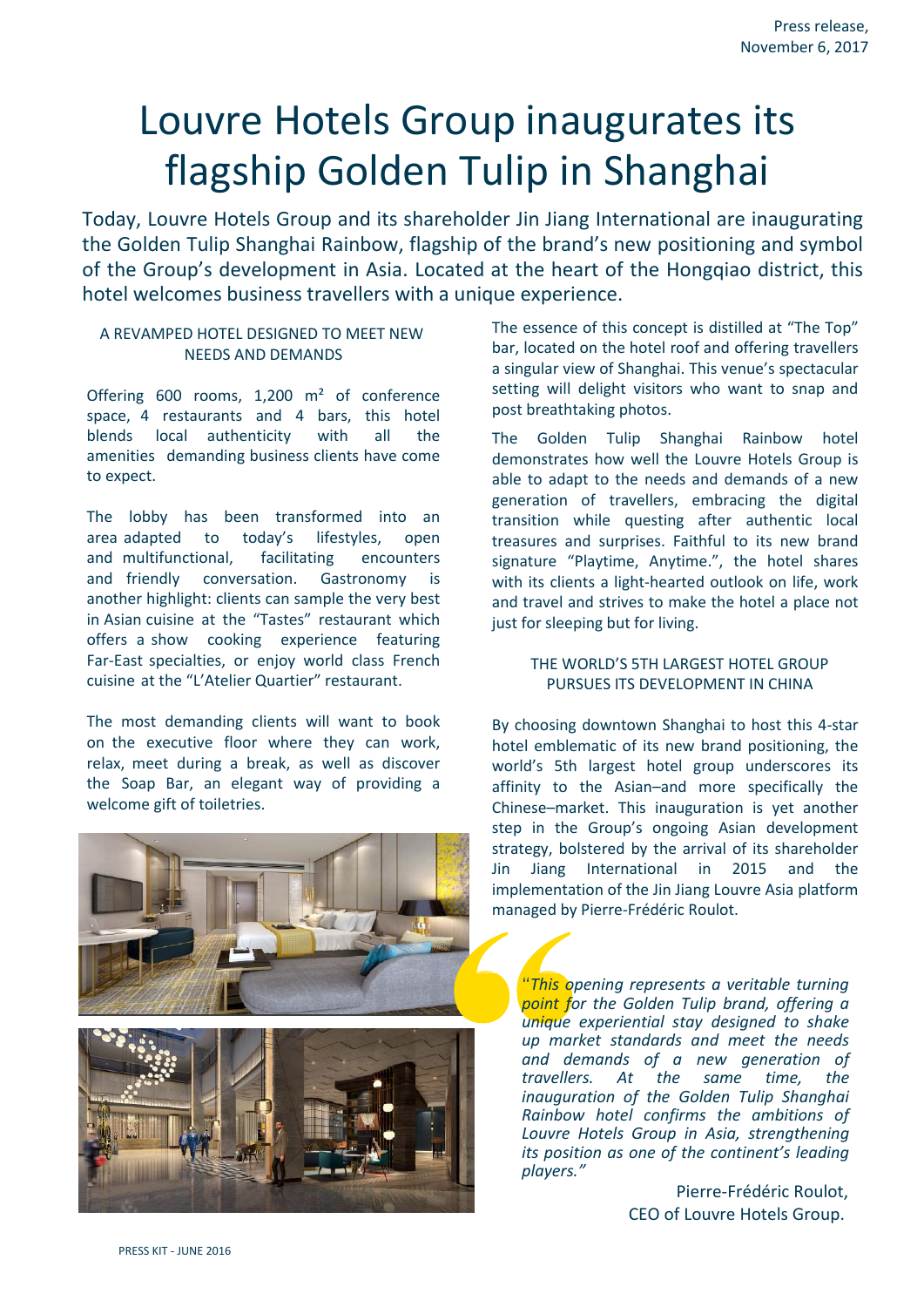# Louvre Hotels Group inaugurates its flagship Golden Tulip in Shanghai

Today, Louvre Hotels Group and its shareholder Jin Jiang International are inaugurating the Golden Tulip Shanghai Rainbow, flagship of the brand's new positioning and symbol of the Group's development in Asia. Located at the heart of the Hongqiao district, this hotel welcomes business travellers with a unique experience.

#### A REVAMPED HOTEL DESIGNED TO MEET NEW NEEDS AND DEMANDS

Offering 600 rooms, 1,200 m² of conference space, 4 restaurants and 4 bars, this hotel blends local authenticity with all the amenities demanding business clients have come to expect.

The lobby has been transformed into an area adapted to today's lifestyles, open and multifunctional, facilitating encounters and friendly conversation. Gastronomy is another highlight: clients can sample the very best in Asian cuisine at the "Tastes" restaurant which offers a show cooking experience featuring Far-East specialties, or enjoy world class French cuisine at the "L'Atelier Quartier" restaurant.

The most demanding clients will want to book on the executive floor where they can work, relax, meet during a break, as well as discover the Soap Bar, an elegant way of providing a welcome gift of toiletries.





The essence of this concept is distilled at "The Top" bar, located on the hotel roof and offering travellers a singular view of Shanghai. This venue's spectacular setting will delight visitors who want to snap and post breathtaking photos.

The Golden Tulip Shanghai Rainbow hotel demonstrates how well the Louvre Hotels Group is able to adapt to the needs and demands of a new generation of travellers, embracing the digital transition while questing after authentic local treasures and surprises. Faithful to its new brand signature "Playtime, Anytime.", the hotel shares with its clients a light-hearted outlook on life, work and travel and strives to make the hotel a place not just for sleeping but for living.

#### THE WORLD'S 5TH LARGEST HOTEL GROUP PURSUES ITS DEVELOPMENT IN CHINA

By choosing downtown Shanghai to host this 4-star hotel emblematic of its new brand positioning, the world's 5th largest hotel group underscores its affinity to the Asian–and more specifically the Chinese–market. This inauguration is yet another step in the Group's ongoing Asian development strategy, bolstered by the arrival of its shareholder Jin Jiang International in 2015 and the implementation of the Jin Jiang Louvre Asia platform managed by Pierre-Frédéric Roulot.

*"This opening represents a veritable turning point for the Golden Tulip brand, offering a unique experiential stay designed to shake up market standards and meet the needs and demands of a new generation of*  At the same time, the *inauguration of the Golden Tulip Shanghai Rainbow hotel confirms the ambitions of Louvre Hotels Group in Asia, strengthening its position as one of the continent's leading players."*

> Pierre-Frédéric Roulot, CEO of Louvre Hotels Group.